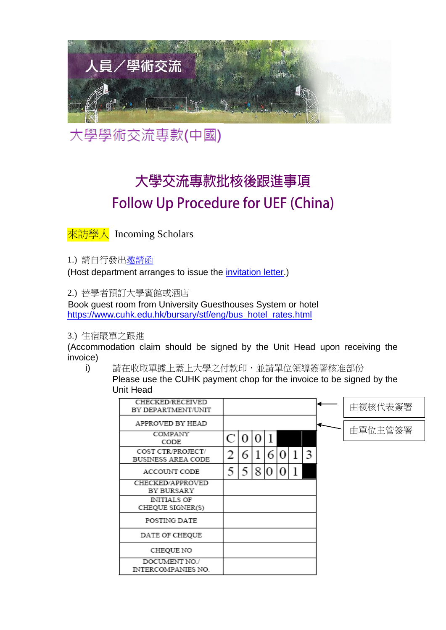

大學學術交流專款(中國)

# 大學交流專款批核後跟進事項 **Follow Up Procedure for UEF (China)**

來訪學人 Incoming Scholars

1.) 請自行發[出邀請函](http://www.oalc.cuhk.edu.hk/files/doc/ch_invitation_letter.doc)

(Host department arranges to issue the [invitation letter.](http://www.oalc.cuhk.edu.hk/files/doc/eng_invitation_letter.doc))

2.) 替學者預訂大學賓館或酒店

Book guest room from University Guesthouses System or hotel [https://www.cuhk.edu.hk/bursary/stf/eng/bus\\_hotel\\_rates.html](https://www.cuhk.edu.hk/bursary/stf/eng/bus_hotel_rates.html)

3.) 住宿賬單之跟進

(Accommodation claim should be signed by the Unit Head upon receiving the invoice)

i) 請在收取單據上蓋上大學之付款印,並請單位領導簽署核准部份

Please use the CUHK payment chop for the invoice to be signed by the Unit Head

| <b>CHECKED/RECEIVED</b><br>BY DEPARTMENT/UNIT |   |   |   |   |  |   | 由複核代表簽署 |
|-----------------------------------------------|---|---|---|---|--|---|---------|
| APPROVED BY HEAD                              |   |   |   |   |  |   |         |
| COMPANY<br>CODE                               |   | 0 |   |   |  |   | 由單位主管簽署 |
| COST CTR/PROJECT/<br>BUSINESS AREA CODE       |   | 6 |   | 6 |  | 3 |         |
| ACCOUNT CODE                                  | 5 | 5 | 8 | 0 |  |   |         |
| CHECKED/APPROVED<br>BY BURSARY                |   |   |   |   |  |   |         |
| <b>INITIALS OF</b><br>CHEQUE SIGNER(S)        |   |   |   |   |  |   |         |
| POSTING DATE                                  |   |   |   |   |  |   |         |
| DATE OF CHEQUE                                |   |   |   |   |  |   |         |
| CHEQUE NO                                     |   |   |   |   |  |   |         |
| DOCUMENT NO./<br>INTERCOMPANIES NO.           |   |   |   |   |  |   |         |